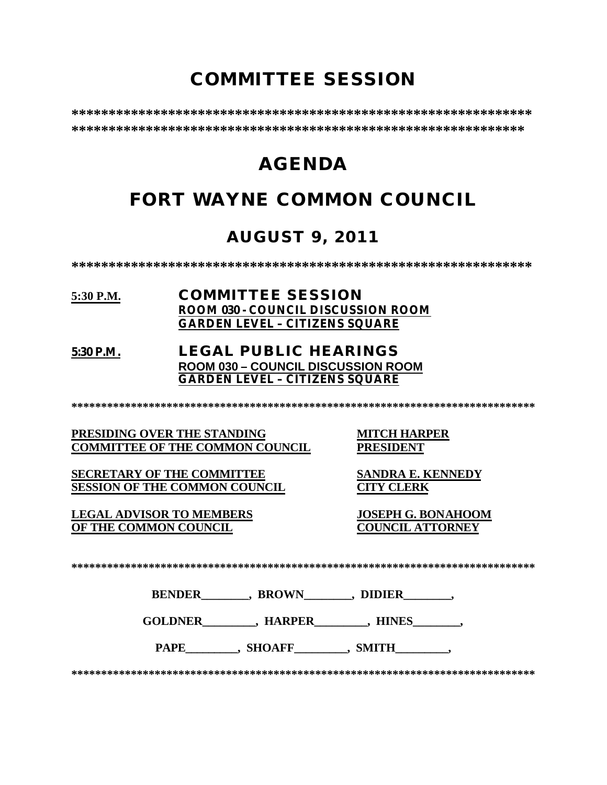# **COMMITTEE SESSION**

**\*\*\*\*\*\*\*\*\*\*\*\*\*\*\*\*\*\*\*\*\*\*\*\*\*\*\*\*\*\*\*\*\*\*\*\*\*\*\*\*\*\*\*\*\*\*\*\*\*\*\*\*\*\*\*\*\*\*\*\*\*\* \*\*\*\*\*\*\*\*\*\*\*\*\*\*\*\*\*\*\*\*\*\*\*\*\*\*\*\*\*\*\*\*\*\*\*\*\*\*\*\*\*\*\*\*\*\*\*\*\*\*\*\*\*\*\*\*\*\*\*\*\***

# **AGENDA**

# **FORT WAYNE COMMON COUNCIL**

# **AUGUST 9, 2011**

**\*\*\*\*\*\*\*\*\*\*\*\*\*\*\*\*\*\*\*\*\*\*\*\*\*\*\*\*\*\*\*\*\*\*\*\*\*\*\*\*\*\*\*\*\*\*\*\*\*\*\*\*\*\*\*\*\*\*\*\*\*\***

## **5:30 P.M. COMMITTEE SESSION ROOM 030 - COUNCIL DISCUSSION ROOM GARDEN LEVEL – CITIZENS SQUARE**

## **5:30 P.M. LEGAL PUBLIC HEARINGS ROOM 030 – COUNCIL DISCUSSION ROOM GARDEN LEVEL – CITIZENS SQUARE**

**\*\*\*\*\*\*\*\*\*\*\*\*\*\*\*\*\*\*\*\*\*\*\*\*\*\*\*\*\*\*\*\*\*\*\*\*\*\*\*\*\*\*\*\*\*\*\*\*\*\*\*\*\*\*\*\*\*\*\*\*\*\*\*\*\*\*\*\*\*\*\*\*\*\*\*\*\*\***

**PRESIDING OVER THE STANDING MITCH HARPER COMMITTEE OF THE COMMON COUNCIL** 

**SECRETARY OF THE COMMITTEE SANDRA E. KENNEDY SESSION OF THE COMMON COUNCIL CITY CLERK**

**LEGAL ADVISOR TO MEMBERS JOSEPH G. BONAHOOM OF THE COMMON COUNCIL** 

**\*\*\*\*\*\*\*\*\*\*\*\*\*\*\*\*\*\*\*\*\*\*\*\*\*\*\*\*\*\*\*\*\*\*\*\*\*\*\*\*\*\*\*\*\*\*\*\*\*\*\*\*\*\*\*\*\*\*\*\*\*\*\*\*\*\*\*\*\*\*\*\*\*\*\*\*\*\***

**BENDER** , BROWN , DIDIER

**GOLDNER\_\_\_\_\_\_\_\_\_, HARPER\_\_\_\_\_\_\_\_\_, HINES\_\_\_\_\_\_\_\_,** 

PAPE\_\_\_\_\_\_\_\_, SHOAFF\_\_\_\_\_\_\_\_, SMITH\_\_\_\_\_\_\_\_,

**\*\*\*\*\*\*\*\*\*\*\*\*\*\*\*\*\*\*\*\*\*\*\*\*\*\*\*\*\*\*\*\*\*\*\*\*\*\*\*\*\*\*\*\*\*\*\*\*\*\*\*\*\*\*\*\*\*\*\*\*\*\*\*\*\*\*\*\*\*\*\*\*\*\*\*\*\*\***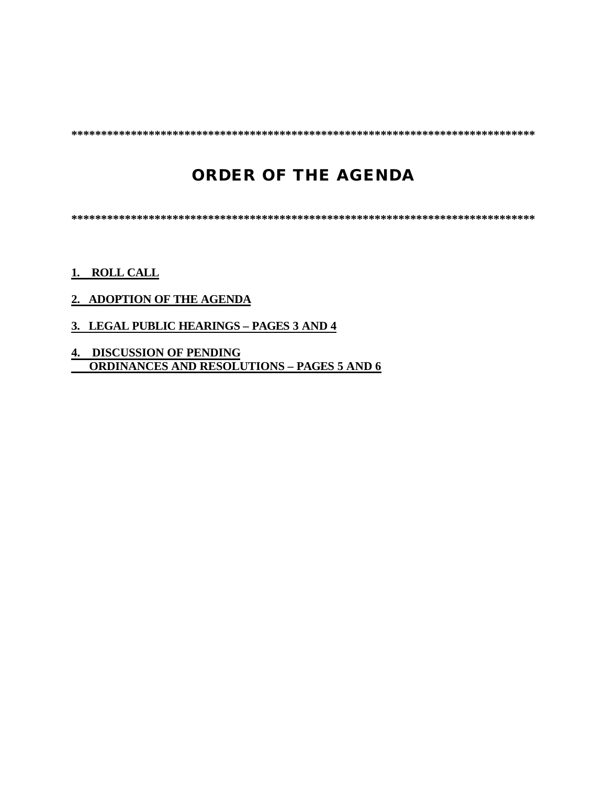**\*\*\*\*\*\*\*\*\*\*\*\*\*\*\*\*\*\*\*\*\*\*\*\*\*\*\*\*\*\*\*\*\*\*\*\*\*\*\*\*\*\*\*\*\*\*\*\*\*\*\*\*\*\*\*\*\*\*\*\*\*\*\*\*\*\*\*\*\*\*\*\*\*\*\*\*\*\***

# **ORDER OF THE AGENDA**

**\*\*\*\*\*\*\*\*\*\*\*\*\*\*\*\*\*\*\*\*\*\*\*\*\*\*\*\*\*\*\*\*\*\*\*\*\*\*\*\*\*\*\*\*\*\*\*\*\*\*\*\*\*\*\*\*\*\*\*\*\*\*\*\*\*\*\*\*\*\*\*\*\*\*\*\*\*\***

## **1. ROLL CALL**

## **2. ADOPTION OF THE AGENDA**

- **3. LEGAL PUBLIC HEARINGS PAGES 3 AND 4**
- **4. DISCUSSION OF PENDING ORDINANCES AND RESOLUTIONS – PAGES 5 AND 6**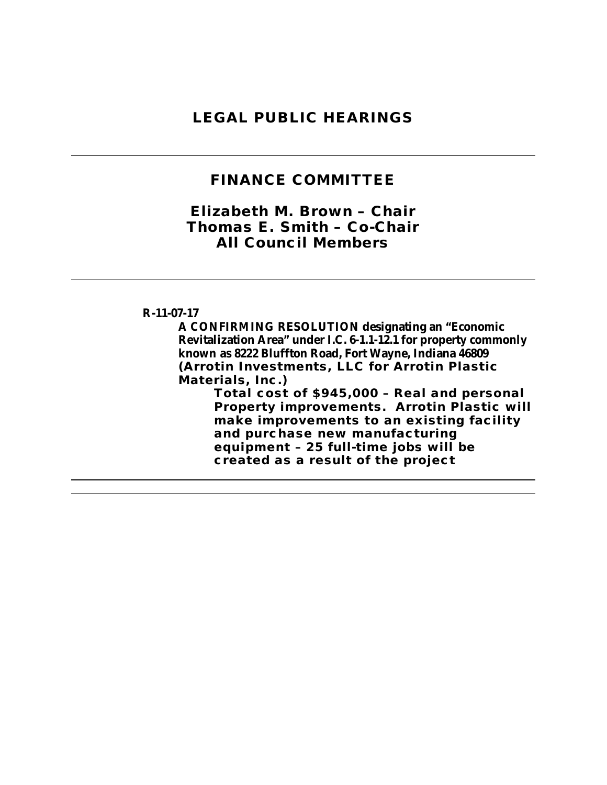## **LEGAL PUBLIC HEARINGS**

## **FINANCE COMMITTEE**

## *Elizabeth M. Brown – Chair Thomas E. Smith – Co-Chair All Council Members*

## **R-11-07-17**

**A CONFIRMING RESOLUTION designating an "Economic Revitalization Area" under I.C. 6-1.1-12.1 for property commonly known as 8222 Bluffton Road, Fort Wayne, Indiana 46809 (Arrotin Investments, LLC for Arrotin Plastic Materials, Inc.)**

**Total cost of \$945,000 – Real and personal Property improvements. Arrotin Plastic will make improvements to an existing facility and purchase new manufacturing equipment – 25 full-time jobs will be created as a result of the project**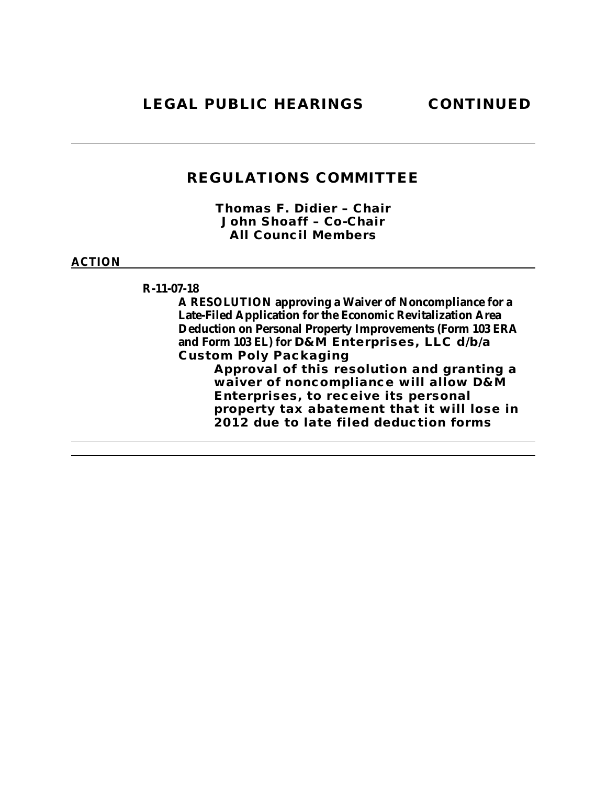*Thomas F. Didier – Chair John Shoaff – Co-Chair All Council Members*

## **ACTION**

**R-11-07-18**

**A RESOLUTION approving a Waiver of Noncompliance for a Late-Filed Application for the Economic Revitalization Area Deduction on Personal Property Improvements (Form 103 ERA and Form 103 EL) for D&M Enterprises, LLC d/b/a Custom Poly Packaging Approval of this resolution and granting a waiver of noncompliance will allow D&M** 

**Enterprises, to receive its personal property tax abatement that it will lose in 2012 due to late filed deduction forms**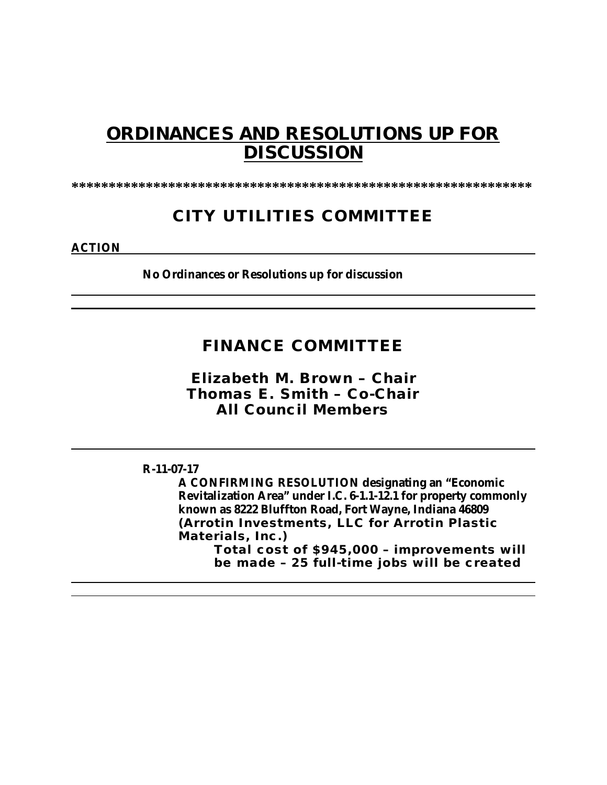# **ORDINANCES AND RESOLUTIONS UP FOR DISCUSSION**

**\*\*\*\*\*\*\*\*\*\*\*\*\*\*\*\*\*\*\*\*\*\*\*\*\*\*\*\*\*\*\*\*\*\*\*\*\*\*\*\*\*\*\*\*\*\*\*\*\*\*\*\*\*\*\*\*\*\*\*\*\*\***

# **CITY UTILITIES COMMITTEE**

**ACTION**

**No Ordinances or Resolutions up for discussion**

# **FINANCE COMMITTEE**

*Elizabeth M. Brown – Chair Thomas E. Smith – Co-Chair All Council Members*

## **R-11-07-17**

**A CONFIRMING RESOLUTION designating an "Economic Revitalization Area" under I.C. 6-1.1-12.1 for property commonly known as 8222 Bluffton Road, Fort Wayne, Indiana 46809 (Arrotin Investments, LLC for Arrotin Plastic Materials, Inc.) Total cost of \$945,000 – improvements will be made – 25 full-time jobs will be created**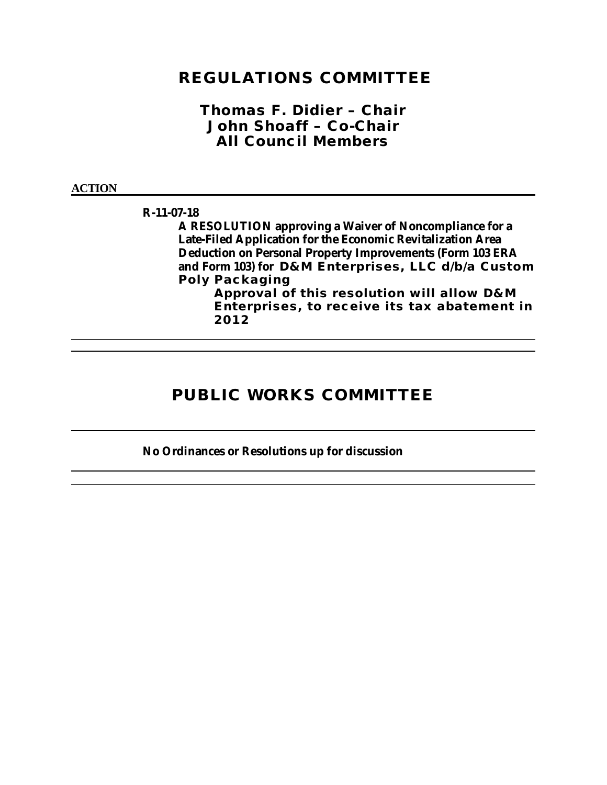## *Thomas F. Didier – Chair John Shoaff – Co-Chair All Council Members*

#### **ACTION**

#### **R-11-07-18**

**A RESOLUTION approving a Waiver of Noncompliance for a Late-Filed Application for the Economic Revitalization Area Deduction on Personal Property Improvements (Form 103 ERA and Form 103) for D&M Enterprises, LLC d/b/a Custom Poly Packaging**

**Approval of this resolution will allow D&M Enterprises, to receive its tax abatement in 2012**

# **PUBLIC WORKS COMMITTEE**

## **No Ordinances or Resolutions up for discussion**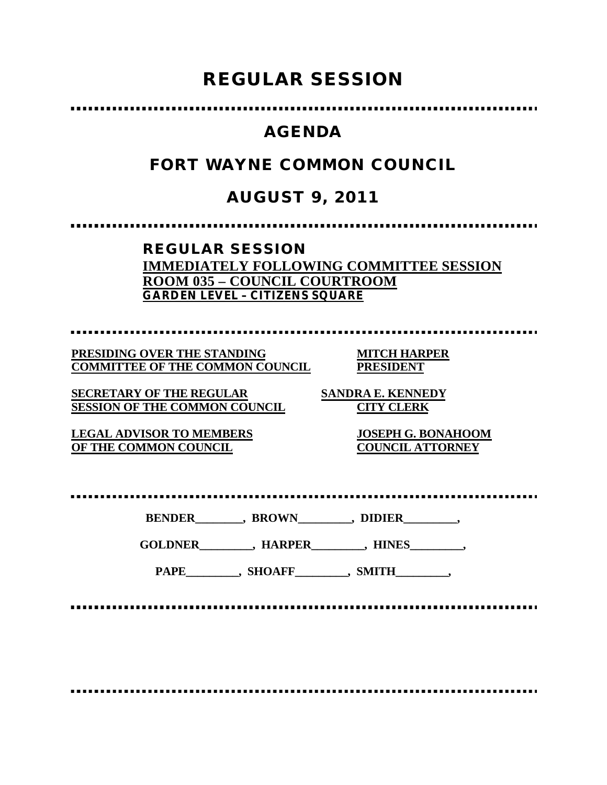# **REGULAR SESSION**

# **AGENDA**

# **FORT WAYNE COMMON COUNCIL**

# **AUGUST 9, 2011**

**REGULAR SESSION IMMEDIATELY FOLLOWING COMMITTEE SESSION ROOM 035 – COUNCIL COURTROOM GARDEN LEVEL – CITIZENS SQUARE** 

**PRESIDING OVER THE STANDING MITCH HARPER COMMITTEE OF THE COMMON COUNCIL PRESIDENT**

**SECRETARY OF THE REGULAR SANDRA E. KENNEDY SESSION OF THE COMMON COUNCIL CITY CLERK**

**LEGAL ADVISOR TO MEMBERS JOSEPH G. BONAHOOM OF THE COMMON COUNCIL COUNCIL ATTORNEY**

**BENDER\_\_\_\_\_\_\_\_, BROWN\_\_\_\_\_\_\_\_\_, DIDIER\_\_\_\_\_\_\_\_\_,**

**GOLDNER\_\_\_\_\_\_\_\_\_, HARPER\_\_\_\_\_\_\_\_\_, HINES\_\_\_\_\_\_\_\_\_,**

PAPE\_\_\_\_\_\_\_\_\_, SHOAFF\_\_\_\_\_\_\_\_, SMITH\_\_\_\_\_\_\_\_,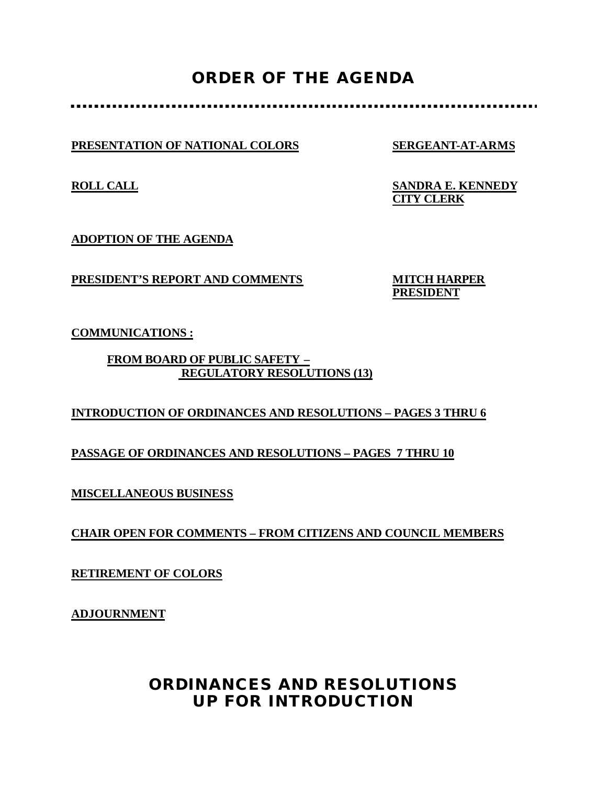# **ORDER OF THE AGENDA**

**PRESENTATION OF NATIONAL COLORS SERGEANT-AT-ARMS**

**ROLL CALL SANDRA E. KENNEDY CITY CLERK**

**ADOPTION OF THE AGENDA**

**PRESIDENT'S REPORT AND COMMENTS MITCH HARPER**

**PRESIDENT**

**COMMUNICATIONS :**

**FROM BOARD OF PUBLIC SAFETY – REGULATORY RESOLUTIONS (13)**

## **INTRODUCTION OF ORDINANCES AND RESOLUTIONS – PAGES 3 THRU 6**

**PASSAGE OF ORDINANCES AND RESOLUTIONS – PAGES 7 THRU 10**

**MISCELLANEOUS BUSINESS**

**CHAIR OPEN FOR COMMENTS – FROM CITIZENS AND COUNCIL MEMBERS**

**RETIREMENT OF COLORS**

**ADJOURNMENT**

# **ORDINANCES AND RESOLUTIONS UP FOR INTRODUCTION**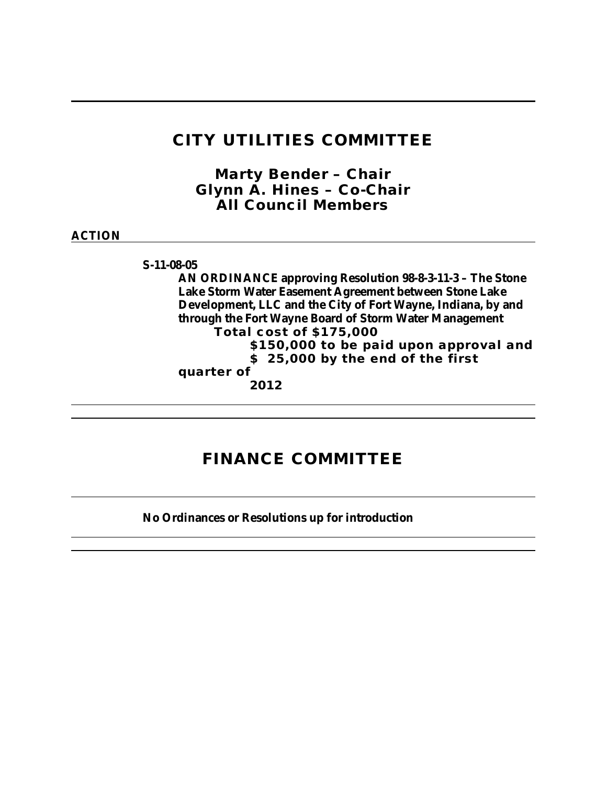# **CITY UTILITIES COMMITTEE**

*Marty Bender – Chair Glynn A. Hines – Co-Chair All Council Members*

## **ACTION**

**S-11-08-05**

**AN ORDINANCE approving Resolution 98-8-3-11-3 – The Stone Lake Storm Water Easement Agreement between Stone Lake Development, LLC and the City of Fort Wayne, Indiana, by and through the Fort Wayne Board of Storm Water Management Total cost of \$175,000 \$150,000 to be paid upon approval and \$ 25,000 by the end of the first quarter of 2012**

# **FINANCE COMMITTEE**

**No Ordinances or Resolutions up for introduction**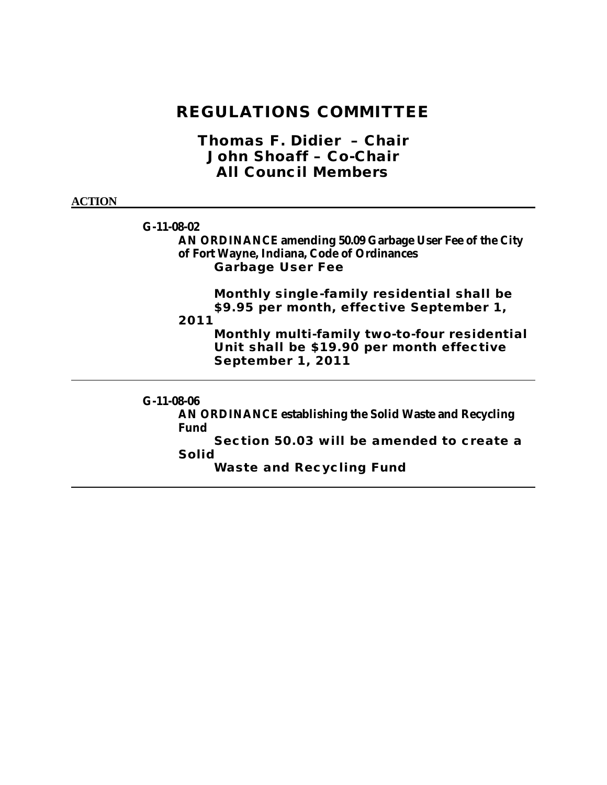*Thomas F. Didier – Chair John Shoaff – Co-Chair All Council Members*

### **ACTION**

**G-11-08-02**

**AN ORDINANCE amending 50.09 Garbage User Fee of the City of Fort Wayne, Indiana, Code of Ordinances Garbage User Fee**

> **Monthly single-family residential shall be \$9.95 per month, effective September 1,**

**2011**

**Monthly multi-family two-to-four residential Unit shall be \$19.90 per month effective September 1, 2011**

**G-11-08-06 AN ORDINANCE establishing the Solid Waste and Recycling Fund Section 50.03 will be amended to create a Solid Waste and Recycling Fund**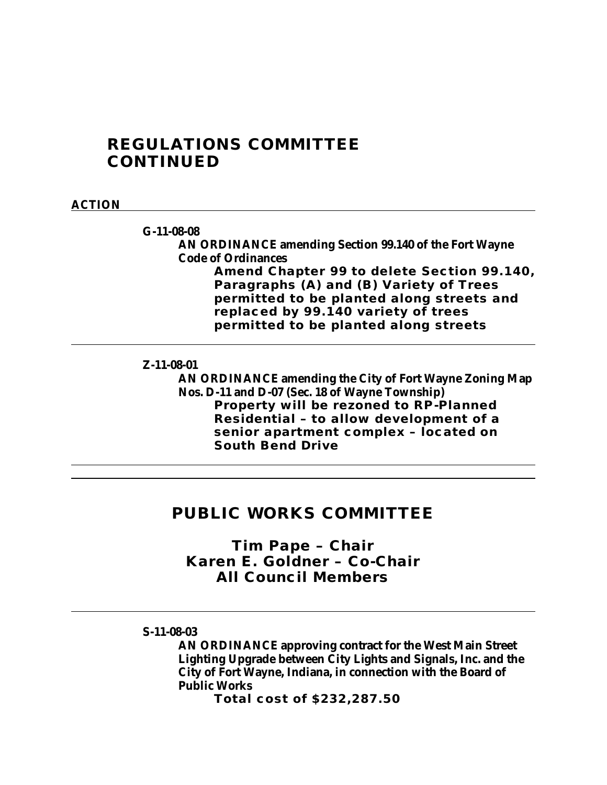# **REGULATIONS COMMITTEE CONTINUED**

## **ACTION**

**G-11-08-08**

**AN ORDINANCE amending Section 99.140 of the Fort Wayne Code of Ordinances**

**Amend Chapter 99 to delete Section 99.140, Paragraphs (A) and (B) Variety of Trees permitted to be planted along streets and replaced by 99.140 variety of trees permitted to be planted along streets** 

#### **Z-11-08-01**

**AN ORDINANCE amending the City of Fort Wayne Zoning Map Nos. D-11 and D-07 (Sec. 18 of Wayne Township) Property will be rezoned to RP-Planned Residential – to allow development of a senior apartment complex – located on South Bend Drive**

## **PUBLIC WORKS COMMITTEE**

*Tim Pape – Chair Karen E. Goldner – Co-Chair All Council Members*

### **S-11-08-03**

**AN ORDINANCE approving contract for the West Main Street Lighting Upgrade between City Lights and Signals, Inc. and the City of Fort Wayne, Indiana, in connection with the Board of Public Works**

**Total cost of \$232,287.50**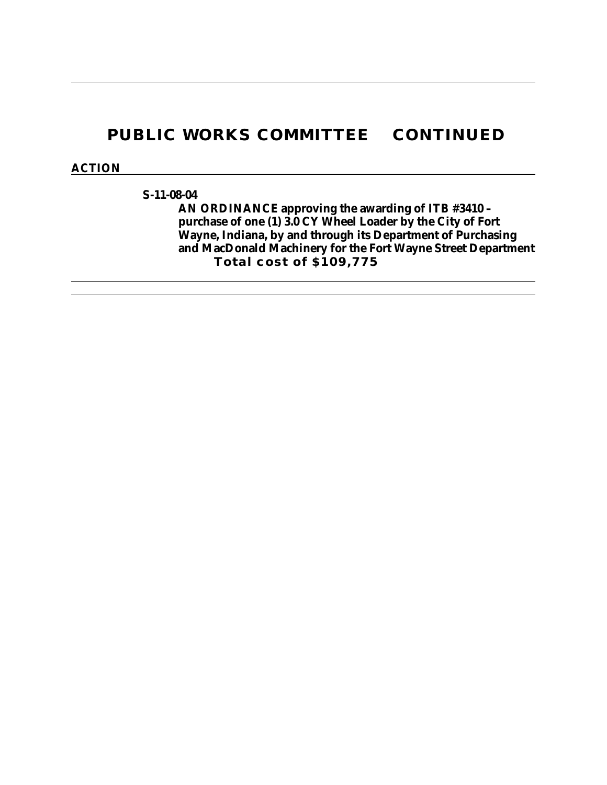# **PUBLIC WORKS COMMITTEE CONTINUED**

### **ACTION**

**S-11-08-04**

**AN ORDINANCE approving the awarding of ITB #3410 – purchase of one (1) 3.0 CY Wheel Loader by the City of Fort Wayne, Indiana, by and through its Department of Purchasing and MacDonald Machinery for the Fort Wayne Street Department Total cost of \$109,775**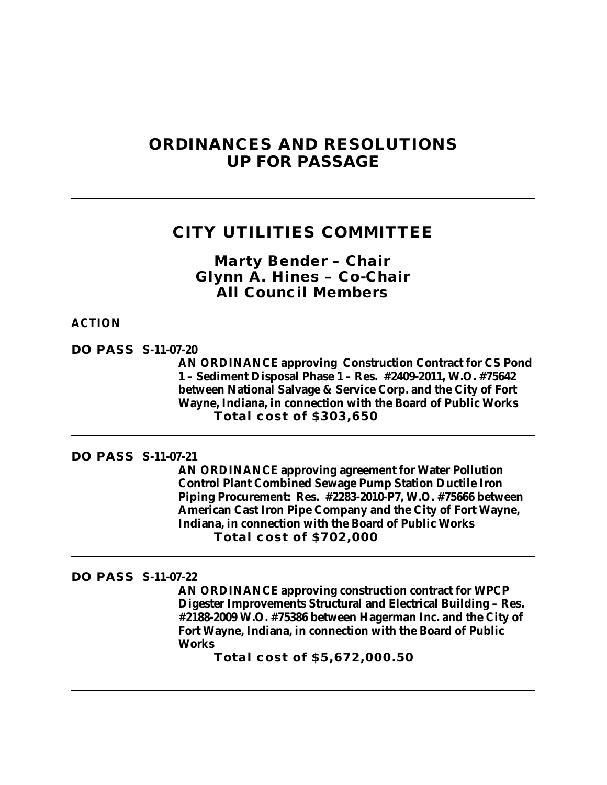# **ORDINANCES AND RESOLUTIONS UP FOR PASSAGE**

# **CITY UTILITIES COMMITTEE**

*Marty Bender – Chair Glynn A. Hines – Co-Chair All Council Members*

### **ACTION**

**DO PASS S-11-07-20**

**AN ORDINANCE approving Construction Contract for CS Pond 1 – Sediment Disposal Phase 1 – Res. #2409-2011, W.O. #75642 between National Salvage & Service Corp. and the City of Fort Wayne, Indiana, in connection with the Board of Public Works Total cost of \$303,650**

**DO PASS S-11-07-21**

**AN ORDINANCE approving agreement for Water Pollution Control Plant Combined Sewage Pump Station Ductile Iron Piping Procurement: Res. #2283-2010-P7, W.O. #75666 between American Cast Iron Pipe Company and the City of Fort Wayne, Indiana, in connection with the Board of Public Works Total cost of \$702,000**

#### **DO PASS S-11-07-22**

**AN ORDINANCE approving construction contract for WPCP Digester Improvements Structural and Electrical Building – Res. #2188-2009 W.O. #75386 between Hagerman Inc. and the City of Fort Wayne, Indiana, in connection with the Board of Public Works**

**Total cost of \$5,672,000.50**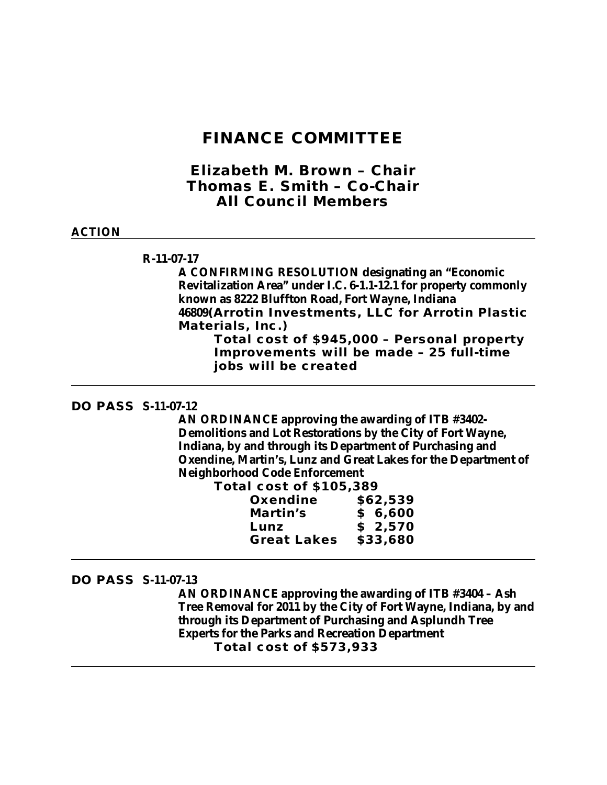## **FINANCE COMMITTEE**

*Elizabeth M. Brown – Chair Thomas E. Smith – Co-Chair All Council Members*

#### **ACTION**

### **R-11-07-17**

**A CONFIRMING RESOLUTION designating an "Economic Revitalization Area" under I.C. 6-1.1-12.1 for property commonly known as 8222 Bluffton Road, Fort Wayne, Indiana 46809(Arrotin Investments, LLC for Arrotin Plastic Materials, Inc.)**

**Total cost of \$945,000 – Personal property Improvements will be made – 25 full-time jobs will be created**

### **DO PASS S-11-07-12**

**AN ORDINANCE approving the awarding of ITB #3402- Demolitions and Lot Restorations by the City of Fort Wayne, Indiana, by and through its Department of Purchasing and Oxendine, Martin's, Lunz and Great Lakes for the Department of Neighborhood Code Enforcement Total** 

| <b>al COSt Of \$105,389</b> |          |
|-----------------------------|----------|
| Oxendine                    | \$62,539 |
| Martin's                    | \$6,600  |
| Lunz                        | \$2,570  |
| <b>Great Lakes</b>          | \$33,680 |
|                             |          |

#### **DO PASS S-11-07-13**

**AN ORDINANCE approving the awarding of ITB #3404 – Ash Tree Removal for 2011 by the City of Fort Wayne, Indiana, by and through its Department of Purchasing and Asplundh Tree Experts for the Parks and Recreation Department Total cost of \$573,933**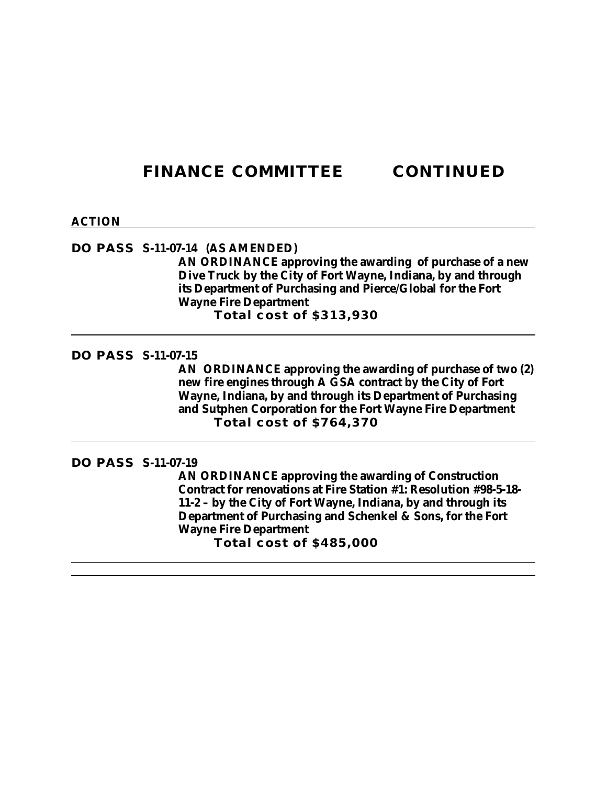# **FINANCE COMMITTEE CONTINUED**

#### **ACTION**

## **DO PASS S-11-07-14 (AS AMENDED)**

**AN ORDINANCE approving the awarding of purchase of a new Dive Truck by the City of Fort Wayne, Indiana, by and through its Department of Purchasing and Pierce/Global for the Fort Wayne Fire Department Total cost of \$313,930**

### **DO PASS S-11-07-15**

**AN ORDINANCE approving the awarding of purchase of two (2) new fire engines through A GSA contract by the City of Fort Wayne, Indiana, by and through its Department of Purchasing and Sutphen Corporation for the Fort Wayne Fire Department Total cost of \$764,370**

#### **DO PASS S-11-07-19**

**AN ORDINANCE approving the awarding of Construction Contract for renovations at Fire Station #1: Resolution #98-5-18- 11-2 – by the City of Fort Wayne, Indiana, by and through its Department of Purchasing and Schenkel & Sons, for the Fort Wayne Fire Department Total cost of \$485,000**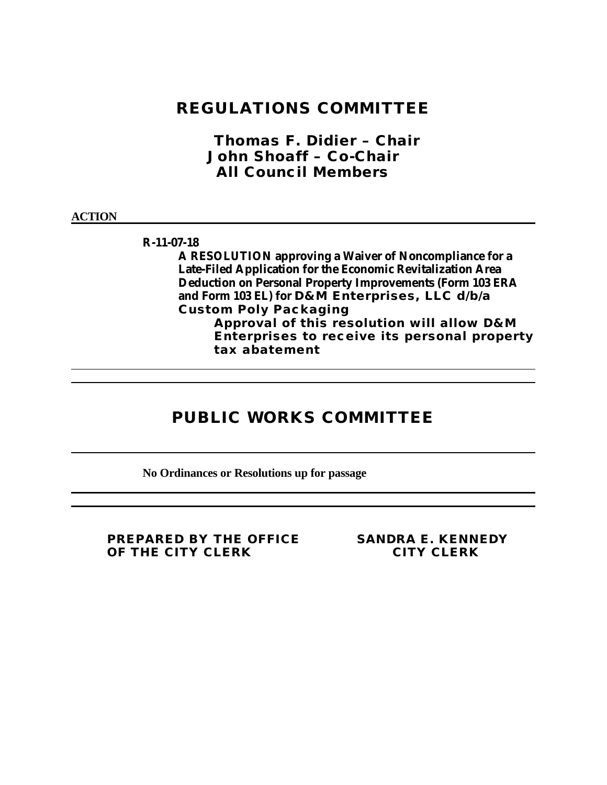*Thomas F. Didier – Chair John Shoaff – Co-Chair All Council Members*

#### **ACTION**

**R-11-07-18**

**A RESOLUTION approving a Waiver of Noncompliance for a Late-Filed Application for the Economic Revitalization Area Deduction on Personal Property Improvements (Form 103 ERA and Form 103 EL) for D&M Enterprises, LLC d/b/a Custom Poly Packaging Approval of this resolution will allow D&M** 

**Enterprises to receive its personal property tax abatement**

# **PUBLIC WORKS COMMITTEE**

**No Ordinances or Resolutions up for passage**

**PREPARED BY THE OFFICE SANDRA E. KENNEDY OF THE CITY CLERK CITY CLERK**